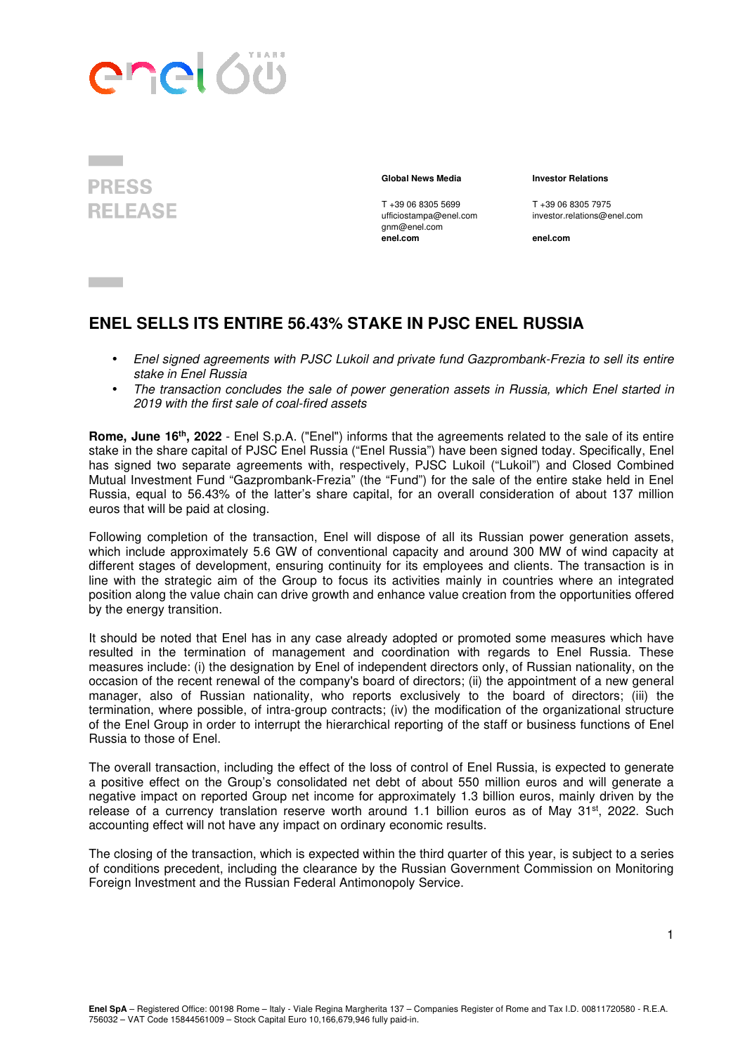



T +39 06 8305 5699 T +39 06 8305 7975<br>
ufficiostampa@enel.com investor.relations@e gnm@enel.com<br>enel.com

## **Global News Media Investor Relations**

investor.relations@enel.com

**enel.com enel.com**

## **ENEL SELLS ITS ENTIRE 56.43% STAKE IN PJSC ENEL RUSSIA**

- Enel signed agreements with PJSC Lukoil and private fund Gazprombank-Frezia to sell its entire stake in Enel Russia
- The transaction concludes the sale of power generation assets in Russia, which Enel started in 2019 with the first sale of coal-fired assets

**Rome, June 16th, 2022** - Enel S.p.A. ("Enel") informs that the agreements related to the sale of its entire stake in the share capital of PJSC Enel Russia ("Enel Russia") have been signed today. Specifically, Enel has signed two separate agreements with, respectively, PJSC Lukoil ("Lukoil") and Closed Combined Mutual Investment Fund "Gazprombank-Frezia" (the "Fund") for the sale of the entire stake held in Enel Russia, equal to 56.43% of the latter's share capital, for an overall consideration of about 137 million euros that will be paid at closing.

Following completion of the transaction, Enel will dispose of all its Russian power generation assets, which include approximately 5.6 GW of conventional capacity and around 300 MW of wind capacity at different stages of development, ensuring continuity for its employees and clients. The transaction is in line with the strategic aim of the Group to focus its activities mainly in countries where an integrated position along the value chain can drive growth and enhance value creation from the opportunities offered by the energy transition.

It should be noted that Enel has in any case already adopted or promoted some measures which have resulted in the termination of management and coordination with regards to Enel Russia. These measures include: (i) the designation by Enel of independent directors only, of Russian nationality, on the occasion of the recent renewal of the company's board of directors; (ii) the appointment of a new general manager, also of Russian nationality, who reports exclusively to the board of directors; (iii) the termination, where possible, of intra-group contracts; (iv) the modification of the organizational structure of the Enel Group in order to interrupt the hierarchical reporting of the staff or business functions of Enel Russia to those of Enel.

The overall transaction, including the effect of the loss of control of Enel Russia, is expected to generate a positive effect on the Group's consolidated net debt of about 550 million euros and will generate a negative impact on reported Group net income for approximately 1.3 billion euros, mainly driven by the release of a currency translation reserve worth around 1.1 billion euros as of May  $31<sup>st</sup>$ , 2022. Such accounting effect will not have any impact on ordinary economic results.

The closing of the transaction, which is expected within the third quarter of this year, is subject to a series of conditions precedent, including the clearance by the Russian Government Commission on Monitoring Foreign Investment and the Russian Federal Antimonopoly Service.